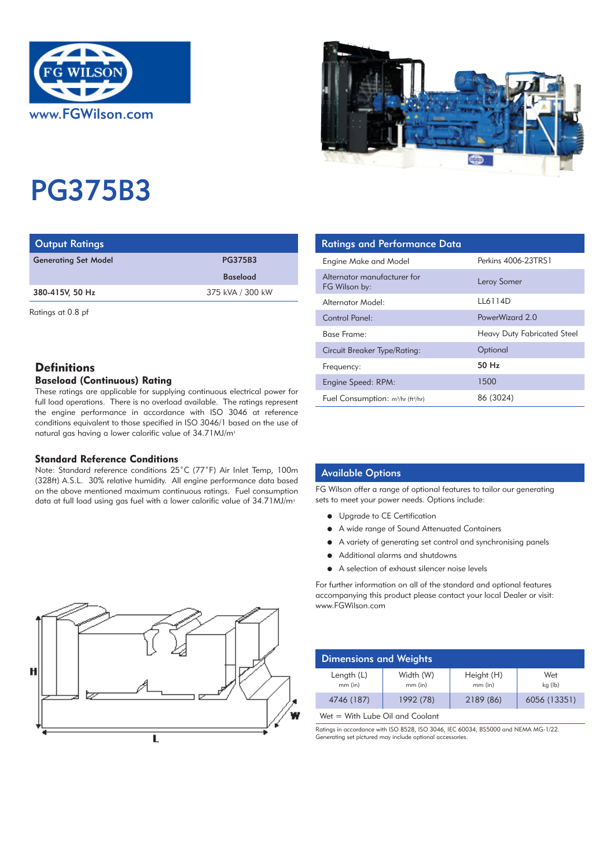



# PG375B3

| <b>Output Ratings</b>       |                  | <b>Ratings and Performance Data</b> |
|-----------------------------|------------------|-------------------------------------|
| <b>Generating Set Model</b> | <b>PG375B3</b>   | Engine Make and Model               |
|                             | <b>Baseload</b>  | Alternator manufacturer for         |
| 380-415V, 50 Hz             | 375 kVA / 300 kW | FG Wilson by:                       |
|                             |                  | Alternator Model:                   |

Ratings at 0.8 pf

# **Definitions**

## Baseload (Continuous) Rating

These ratings are applicable for supplying continuous electrical power for full load operations. There is no overload available. The ratings represent the engine performance in accordance with ISO 3046 at reference conditions equivalent to those specified in ISO 3046/1 based on the use of natural gas having a lower calorific value of 34.71 MJ/m<sup>3</sup>

## Standard Reference Conditions

Note: Standard reference conditions 25˚C (77˚F) Air Inlet Temp, 100m (328ft) A.S.L. 30% relative humidity. All engine performance data based on the above mentioned maximum continuous ratings. Fuel consumption data at full load using gas fuel with a lower calorific value of 34.71 MJ/m<sup>3</sup>

| <b>Ratings and Performance Data</b>              |                                    |
|--------------------------------------------------|------------------------------------|
| Engine Make and Model                            | Perkins 4006-23TRS1                |
| Alternator manufacturer for<br>FG Wilson by:     | Leroy Somer                        |
| Alternator Model:                                | LL6114D                            |
| Control Panel:                                   | PowerWizard 2.0                    |
| Base Frame:                                      | <b>Heavy Duty Fabricated Steel</b> |
| Circuit Breaker Type/Rating:                     | Optional                           |
| Frequency:                                       | $50$ Hz                            |
| Engine Speed: RPM:                               | 1500                               |
| Fuel Consumption: $m^3/hr$ (ft <sup>3</sup> /hr) | 86 (3024)                          |

## Available Options

FG Wilson offer a range of optional features to tailor our generating sets to meet your power needs. Options include:

- **•** Upgrade to CE Certification
- A wide range of Sound Attenuated Containers
- A variety of generating set control and synchronising panels
- $\bullet$  Additional alarms and shutdowns
- A selection of exhaust silencer noise levels

For further information on all of the standard and optional features accompanying this product please contact your local Dealer or visit: www.FGWilson.com

| Dimensions and Weights  |                        |                       |                |
|-------------------------|------------------------|-----------------------|----------------|
| Length $(L)$<br>mm (in) | Width (W)<br>$mm$ (in) | Height (H)<br>mm (in) | Wet<br>kg (lb) |
| 4746 (187)              | 1992 (78)              | 2189 (86)             | 6056 (13351)   |

Wet = With Lube Oil and Coolant

Ratings in accordance with ISO 8528, ISO 3046, IEC 60034, BS5000 and NEMA MG-1/22. Generating set pictured may include optional accessories.

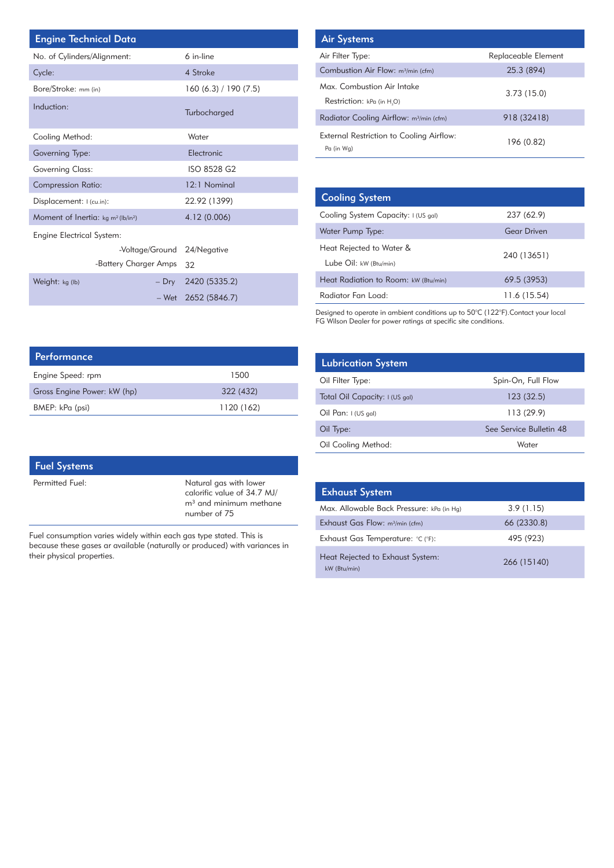| <b>Engine Technical Data</b>                               |                       |  | <b>Air Systems</b>      |
|------------------------------------------------------------|-----------------------|--|-------------------------|
| No. of Cylinders/Alignment:                                | 6 in-line             |  | Air Filter Type:        |
| Cycle:                                                     | 4 Stroke              |  | <b>Combustion Air</b>   |
| Bore/Stroke: mm (in)                                       | 160 (6.3) / 190 (7.5) |  | Max. Combusti           |
| Induction:                                                 |                       |  | Restriction: kP         |
|                                                            | Turbocharged          |  | <b>Radiator Coolir</b>  |
| Cooling Method:                                            | Water                 |  | <b>External Restric</b> |
| Governing Type:                                            | Electronic            |  | Pa (in Wg)              |
| <b>Governing Class:</b>                                    | ISO 8528 G2           |  |                         |
| <b>Compression Ratio:</b>                                  | 12:1 Nominal          |  |                         |
| Displacement: I (cu.in):                                   | 22.92 (1399)          |  | <b>Cooling Sys</b>      |
| Moment of Inertia: kg m <sup>2</sup> (lb/in <sup>2</sup> ) | 4.12 (0.006)          |  | Cooling System          |
| <b>Engine Electrical System:</b>                           |                       |  | Water Pump Ty           |
| -Voltage/Ground 24/Negative                                |                       |  | Heat Rejected           |
| -Battery Charger Amps                                      | 32                    |  | Lube Oil: kw (          |
| Weight: kg (lb)<br>$-$ Dry                                 | 2420 (5335.2)         |  | <b>Heat Radiation</b>   |
| – Wet                                                      | 2652 (5846.7)         |  | Radiator Fan L          |

| <b>Air Systems</b>                                      |                     |
|---------------------------------------------------------|---------------------|
| Air Filter Type:                                        | Replaceable Element |
| Combustion Air Flow: m <sup>3</sup> /min (cfm)          | 25.3 (894)          |
| Max. Combustion Air Intake<br>Restriction: kPa (in H.O) | 3.73(15.0)          |
| Radiator Cooling Airflow: m <sup>3</sup> /min (cfm)     | 918 (32418)         |
| External Restriction to Cooling Airflow:<br>Pa (in Wa)  | 196 (0.82)          |

| <b>Cooling System</b>                              |                    |
|----------------------------------------------------|--------------------|
| Cooling System Capacity: I (US gal)                | 237 (62.9)         |
| Water Pump Type:                                   | <b>Gear Driven</b> |
| Heat Rejected to Water &<br>Lube Oil: kW (Btu/min) | 240 (13651)        |
| Heat Radiation to Room: kW (Btu/min)               | 69.5 (3953)        |
| Radiator Fan Load:                                 | 11.6 (15.54)       |

Designed to operate in ambient conditions up to 50°C (122°F).Contact your local FG Wilson Dealer for power ratings at specific site conditions.

| <b>Lubrication System</b>      |                         |
|--------------------------------|-------------------------|
| Oil Filter Type:               | Spin-On, Full Flow      |
| Total Oil Capacity: I (US gal) | 123(32.5)               |
| Oil Pan: $1$ (US gal)          | 113(29.9)               |
| Oil Type:                      | See Service Bulletin 48 |
| Oil Cooling Method:            | Water                   |

| <b>Exhaust System</b>                            |             |
|--------------------------------------------------|-------------|
| Max. Allowable Back Pressure: kPa (in Hg)        | 3.9(1.15)   |
| Exhaust Gas Flow: m <sup>3</sup> /min (cfm)      | 66 (2330.8) |
| Exhaust Gas Temperature: °C (°F):                | 495 (923)   |
| Heat Rejected to Exhaust System:<br>kW (Btu/min) | 266 (15140) |

| Performance                 |            |
|-----------------------------|------------|
| Engine Speed: rpm           | 1500       |
| Gross Engine Power: kW (hp) | 322 (432)  |
| BMEP: kPa (psi)             | 1120 (162) |

| Permitted Fuel: | Natural gas with lower                                                  |
|-----------------|-------------------------------------------------------------------------|
|                 | calorific value of 34.7 MJ/<br>$m3$ and minimum methane<br>number of 75 |

Fuel consumption varies widely within each gas type stated. This is because these gases ar available (naturally or produced) with variances in their physical properties.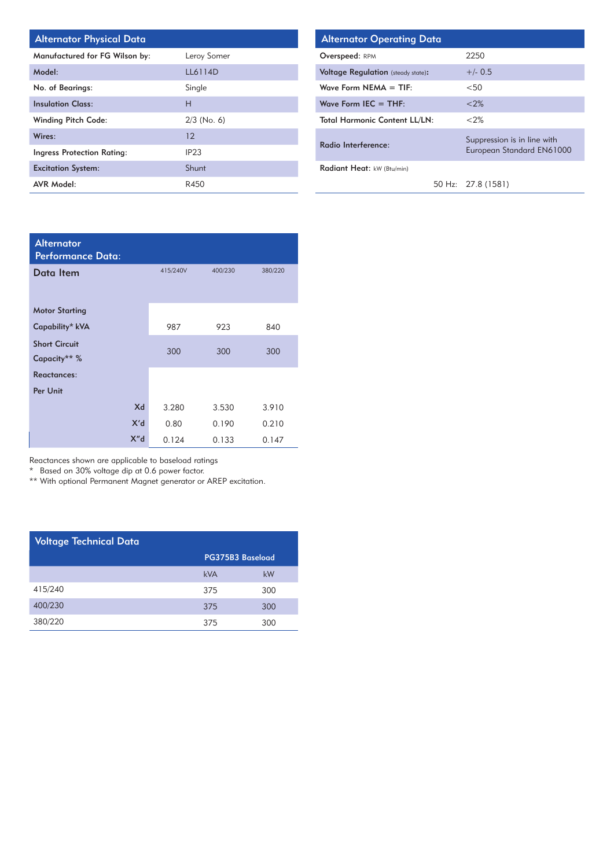| <b>Alternator Physical Date</b> |  |  |
|---------------------------------|--|--|
|---------------------------------|--|--|

| Manufactured for FG Wilson by: | Leroy Somer   |
|--------------------------------|---------------|
| Model:                         | LL6114D       |
| No. of Bearings:               | Single        |
| <b>Insulation Class:</b>       | н             |
| <b>Winding Pitch Code:</b>     | $2/3$ (No. 6) |
| Wires:                         | 12            |
| Ingress Protection Rating:     | IP23          |
| <b>Excitation System:</b>      | Shunt         |
| <b>AVR Model:</b>              | R450          |

| Alternator Physical Data       |               | <b>Alternator Operating Data</b>          |                                                          |
|--------------------------------|---------------|-------------------------------------------|----------------------------------------------------------|
| Manufactured for FG Wilson by: | Leroy Somer   | <b>Overspeed: RPM</b>                     | 2250                                                     |
| Model:                         | LL6114D       | <b>Voltage Regulation</b> (steady state): | $+/- 0.5$                                                |
| <b>No. of Bearings:</b>        | Single        | Wave Form $NEMA = TIF$ :                  | $<$ 50                                                   |
| nsulation Class:               | Н             | Wave Form $IEC = THE$ :                   | < 2%                                                     |
| Winding Pitch Code:            | $2/3$ (No. 6) | <b>Total Harmonic Content LL/LN:</b>      | <2%                                                      |
| Vires:                         | 12            | Radio Interference:                       | Suppression is in line with<br>European Standard EN61000 |
| ngress Protection Rating:      | IP23          |                                           |                                                          |
| Excitation System:             | Shunt         | Radiant Heat: kW (Btu/min)                |                                                          |
| <b>AVR Model:</b>              | R450          |                                           | 50 Hz: 27.8 (1581)                                       |

| <b>Alternator</b><br><b>Performance Data:</b> |          |         |         |
|-----------------------------------------------|----------|---------|---------|
| Data Item                                     | 415/240V | 400/230 | 380/220 |
|                                               |          |         |         |
| <b>Motor Starting</b>                         |          |         |         |
| Capability* kVA                               | 987      | 923     | 840     |
| <b>Short Circuit</b>                          | 300      | 300     | 300     |
| Capacity** %                                  |          |         |         |
| <b>Reactances:</b>                            |          |         |         |
| Per Unit                                      |          |         |         |
| Xd                                            | 3.280    | 3.530   | 3.910   |
| X'd                                           | 0.80     | 0.190   | 0.210   |
| X'' <sub>d</sub>                              | 0.124    | 0.133   | 0.147   |

Reactances shown are applicable to baseload ratings

\* Based on 30% voltage dip at 0.6 power factor.

\*\* With optional Permanent Magnet generator or AREP excitation.

| <b>Voltage Technical Data</b> |     |                  |  |  |  |
|-------------------------------|-----|------------------|--|--|--|
|                               |     | PG375B3 Baseload |  |  |  |
|                               | kVA | kW               |  |  |  |
| 415/240                       | 375 | 300              |  |  |  |
| 400/230                       | 375 | 300              |  |  |  |
| 380/220                       | 375 | 300              |  |  |  |